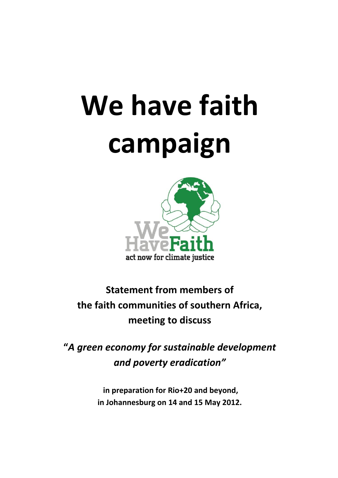## **We have faith campaign**



**Statement from members of the faith communities of southern Africa, meeting to discuss**

**"***A green economy for sustainable development and poverty eradication"*

> **in preparation for Rio+20 and beyond, in Johannesburg on 14 and 15 May 2012.**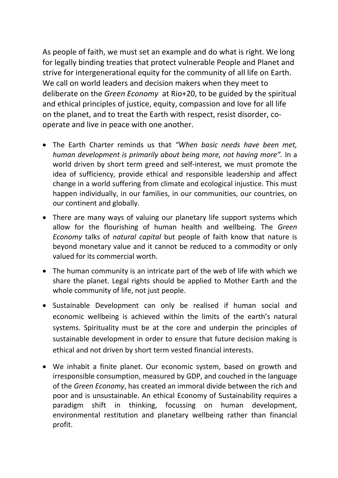As people of faith, we must set an example and do what is right. We long for legally binding treaties that protect vulnerable People and Planet and strive for intergenerational equity for the community of all life on Earth. We call on world leaders and decision makers when they meet to deliberate on the *Green Economy* at Rio+20, to be guided by the spiritual and ethical principles of justice, equity, compassion and love for all life on the planet, and to treat the Earth with respect, resist disorder, cooperate and live in peace with one another.

- The Earth Charter reminds us that *"When basic needs have been met, human development is primarily about being more, not having more".* In a world driven by short term greed and self-interest, we must promote the idea of sufficiency, provide ethical and responsible leadership and affect change in a world suffering from climate and ecological injustice. This must happen individually, in our families, in our communities, our countries, on our continent and globally.
- There are many ways of valuing our planetary life support systems which allow for the flourishing of human health and wellbeing. The *Green Economy* talks of *natural capital* but people of faith know that nature is beyond monetary value and it cannot be reduced to a commodity or only valued for its commercial worth.
- The human community is an intricate part of the web of life with which we share the planet. Legal rights should be applied to Mother Earth and the whole community of life, not just people.
- Sustainable Development can only be realised if human social and economic wellbeing is achieved within the limits of the earth's natural systems. Spirituality must be at the core and underpin the principles of sustainable development in order to ensure that future decision making is ethical and not driven by short term vested financial interests.
- We inhabit a finite planet. Our economic system, based on growth and irresponsible consumption, measured by GDP, and couched in the language of the *Green Economy*, has created an immoral divide between the rich and poor and is unsustainable. An ethical Economy of Sustainability requires a paradigm shift in thinking, focussing on human development, environmental restitution and planetary wellbeing rather than financial profit.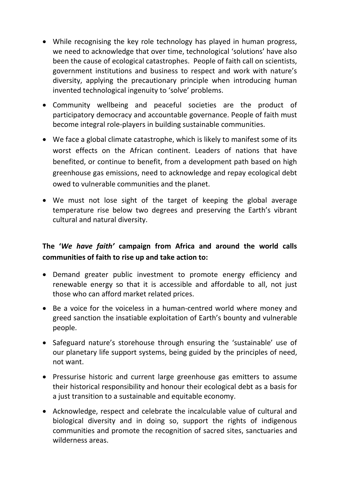- While recognising the key role technology has played in human progress, we need to acknowledge that over time, technological 'solutions' have also been the cause of ecological catastrophes. People of faith call on scientists, government institutions and business to respect and work with nature's diversity, applying the precautionary principle when introducing human invented technological ingenuity to 'solve' problems.
- Community wellbeing and peaceful societies are the product of participatory democracy and accountable governance. People of faith must become integral role-players in building sustainable communities.
- We face a global climate catastrophe, which is likely to manifest some of its worst effects on the African continent. Leaders of nations that have benefited, or continue to benefit, from a development path based on high greenhouse gas emissions, need to acknowledge and repay ecological debt owed to vulnerable communities and the planet.
- We must not lose sight of the target of keeping the global average temperature rise below two degrees and preserving the Earth's vibrant cultural and natural diversity.

## **The '***We have faith'* **campaign from Africa and around the world calls communities of faith to rise up and take action to:**

- Demand greater public investment to promote energy efficiency and renewable energy so that it is accessible and affordable to all, not just those who can afford market related prices.
- Be a voice for the voiceless in a human-centred world where money and greed sanction the insatiable exploitation of Earth's bounty and vulnerable people.
- Safeguard nature's storehouse through ensuring the 'sustainable' use of our planetary life support systems, being guided by the principles of need, not want.
- Pressurise historic and current large greenhouse gas emitters to assume their historical responsibility and honour their ecological debt as a basis for a just transition to a sustainable and equitable economy.
- Acknowledge, respect and celebrate the incalculable value of cultural and biological diversity and in doing so, support the rights of indigenous communities and promote the recognition of sacred sites, sanctuaries and wilderness areas.